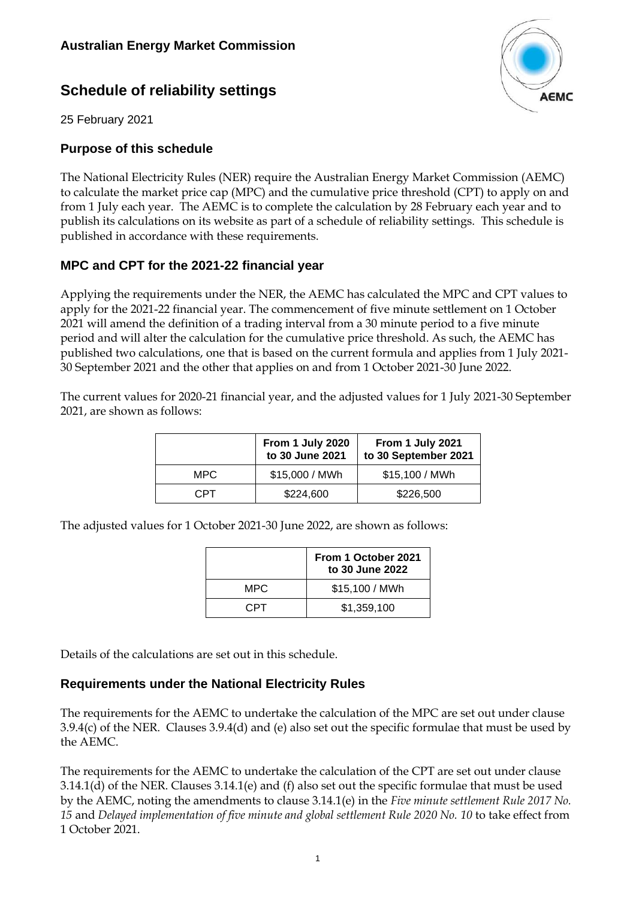# **Schedule of reliability settings**



25 February 2021

### **Purpose of this schedule**

The National Electricity Rules (NER) require the Australian Energy Market Commission (AEMC) to calculate the market price cap (MPC) and the cumulative price threshold (CPT) to apply on and from 1 July each year. The AEMC is to complete the calculation by 28 February each year and to publish its calculations on its website as part of a schedule of reliability settings. This schedule is published in accordance with these requirements.

## **MPC and CPT for the 2021-22 financial year**

Applying the requirements under the NER, the AEMC has calculated the MPC and CPT values to apply for the 2021-22 financial year. The commencement of five minute settlement on 1 October 2021 will amend the definition of a trading interval from a 30 minute period to a five minute period and will alter the calculation for the cumulative price threshold. As such, the AEMC has published two calculations, one that is based on the current formula and applies from 1 July 2021- 30 September 2021 and the other that applies on and from 1 October 2021-30 June 2022.

The current values for 2020-21 financial year, and the adjusted values for 1 July 2021-30 September 2021, are shown as follows:

|      | From 1 July 2020<br>to 30 June 2021 | From 1 July 2021<br>to 30 September 2021 |  |  |
|------|-------------------------------------|------------------------------------------|--|--|
| MPC. | \$15,000 / MWh                      | \$15,100 / MWh                           |  |  |
| CPT. | \$224,600                           | \$226,500                                |  |  |

The adjusted values for 1 October 2021-30 June 2022, are shown as follows:

|      | From 1 October 2021<br>to 30 June 2022 |  |  |
|------|----------------------------------------|--|--|
| MPC. | \$15,100 / MWh                         |  |  |
| CPT. | \$1,359,100                            |  |  |

Details of the calculations are set out in this schedule.

### **Requirements under the National Electricity Rules**

The requirements for the AEMC to undertake the calculation of the MPC are set out under clause 3.9.4(c) of the NER. Clauses 3.9.4(d) and (e) also set out the specific formulae that must be used by the AEMC.

The requirements for the AEMC to undertake the calculation of the CPT are set out under clause 3.14.1(d) of the NER. Clauses 3.14.1(e) and (f) also set out the specific formulae that must be used by the AEMC, noting the amendments to clause 3.14.1(e) in the *Five minute settlement Rule 2017 No. 15* and *Delayed implementation of five minute and global settlement Rule 2020 No. 10* to take effect from 1 October 2021.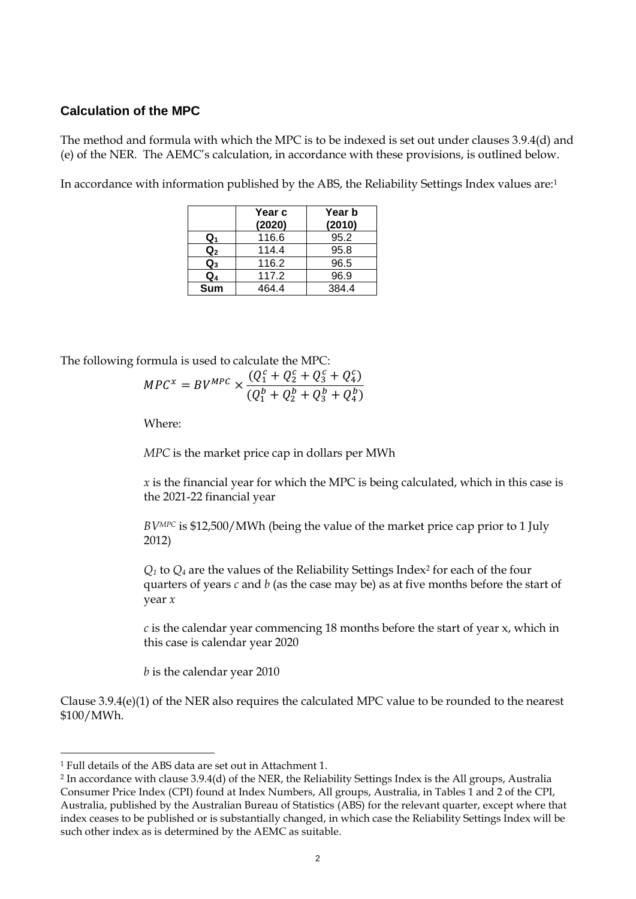### **Calculation of the MPC**

The method and formula with which the MPC is to be indexed is set out under clauses 3.9.4(d) and (e) of the NER. The AEMC's calculation, in accordance with these provisions, is outlined below.

In accordance with information published by the ABS, the Reliability Settings Index values are:<sup>1</sup>

|                | Year c<br>(2020) | Year b<br>(2010) |
|----------------|------------------|------------------|
| Q1             | 116.6            | 95.2             |
| $\mathbf{Q}_2$ | 114.4            | 95.8             |
| $\mathsf{Q}_3$ | 116.2            | 96.5             |
| Q4             | 117.2            | 96.9             |
| <b>Sum</b>     | 464.4            | 384.4            |

The following formula is used to calculate the MPC:

$$
MPC^{x} = BV^{MPC} \times \frac{(Q_1^c + Q_2^c + Q_3^c + Q_4^c)}{(Q_1^b + Q_2^b + Q_3^b + Q_4^b)}
$$

Where:

*MPC* is the market price cap in dollars per MWh

*x* is the financial year for which the MPC is being calculated, which in this case is the 2021-22 financial year

*BVMPC* is \$12,500/MWh (being the value of the market price cap prior to 1 July 2012)

 $Q_1$  to  $Q_4$  are the values of the Reliability Settings Index<sup>2</sup> for each of the four quarters of years *c* and *b* (as the case may be) as at five months before the start of year *x*

*c* is the calendar year commencing 18 months before the start of year x, which in this case is calendar year 2020

*b* is the calendar year 2010

Clause 3.9.4(e)(1) of the NER also requires the calculated MPC value to be rounded to the nearest \$100/MWh.

<sup>1</sup> Full details of the ABS data are set out in Attachment 1.

<sup>2</sup> In accordance with clause 3.9.4(d) of the NER, the Reliability Settings Index is the All groups, Australia Consumer Price Index (CPI) found at Index Numbers, All groups, Australia, in Tables 1 and 2 of the CPI, Australia, published by the Australian Bureau of Statistics (ABS) for the relevant quarter, except where that index ceases to be published or is substantially changed, in which case the Reliability Settings Index will be such other index as is determined by the AEMC as suitable.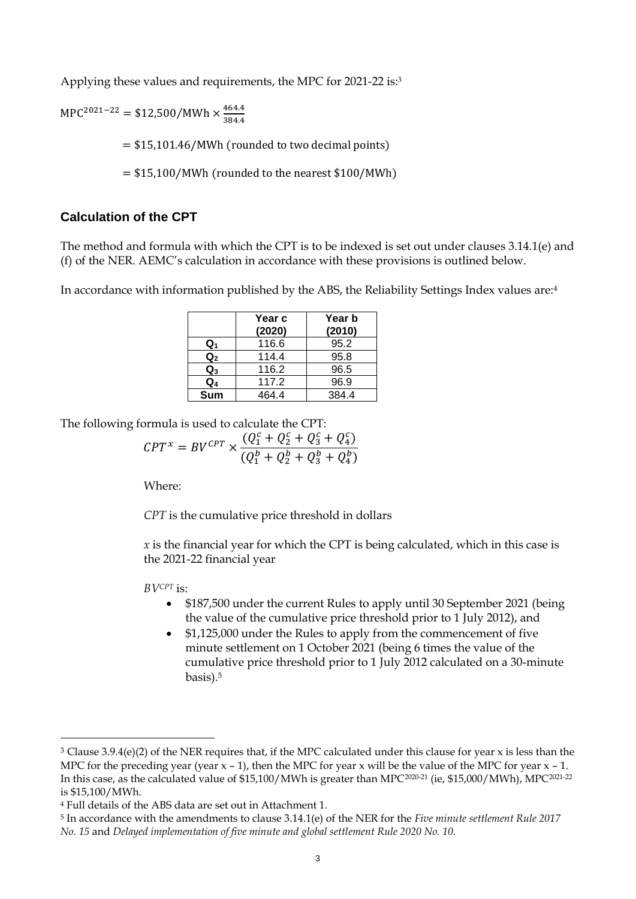Applying these values and requirements, the MPC for 2021-22 is:3

 $MPC^{2021-22}$  = \$12,500/MWh  $\times \frac{464.4}{384.4}$ 384.4

= \$15,101.46/MWh (rounded to two decimal points)

 $= $15,100/MWh$  (rounded to the nearest \$100/MWh)

### **Calculation of the CPT**

The method and formula with which the CPT is to be indexed is set out under clauses 3.14.1(e) and (f) of the NER. AEMC's calculation in accordance with these provisions is outlined below.

In accordance with information published by the ABS, the Reliability Settings Index values are:<sup>4</sup>

|                           | Year c<br>(2020) | Year b<br>(2010) |
|---------------------------|------------------|------------------|
| Q1                        | 116.6            | 95.2             |
| $\overline{\mathsf{Q}}_2$ | 114.4            | 95.8             |
| $Q_3$                     | 116.2            | 96.5             |
| $Q_4$                     | 117.2            | 96.9             |
| <b>Sum</b>                | 464.4            | 384.4            |

The following formula is used to calculate the CPT:

$$
CPT^{x} = BV^{CPT} \times \frac{(Q_1^c + Q_2^c + Q_3^c + Q_4^c)}{(Q_1^b + Q_2^b + Q_3^b + Q_4^b)}
$$

Where:

*CPT* is the cumulative price threshold in dollars

*x* is the financial year for which the CPT is being calculated, which in this case is the 2021-22 financial year

*BVCPT* is:

- \$187,500 under the current Rules to apply until 30 September 2021 (being the value of the cumulative price threshold prior to 1 July 2012), and
- \$1,125,000 under the Rules to apply from the commencement of five minute settlement on 1 October 2021 (being 6 times the value of the cumulative price threshold prior to 1 July 2012 calculated on a 30-minute basis). 5

 $3$  Clause 3.9.4(e)(2) of the NER requires that, if the MPC calculated under this clause for year x is less than the MPC for the preceding year (year  $x - 1$ ), then the MPC for year x will be the value of the MPC for year  $x - 1$ . In this case, as the calculated value of \$15,100/MWh is greater than MPC2020-21 (ie, \$15,000/MWh), MPC2021-22 is \$15,100/MWh.

<sup>4</sup> Full details of the ABS data are set out in Attachment 1.

<sup>5</sup> In accordance with the amendments to clause 3.14.1(e) of the NER for the *Five minute settlement Rule 2017 No. 15* and *Delayed implementation of five minute and global settlement Rule 2020 No. 10.*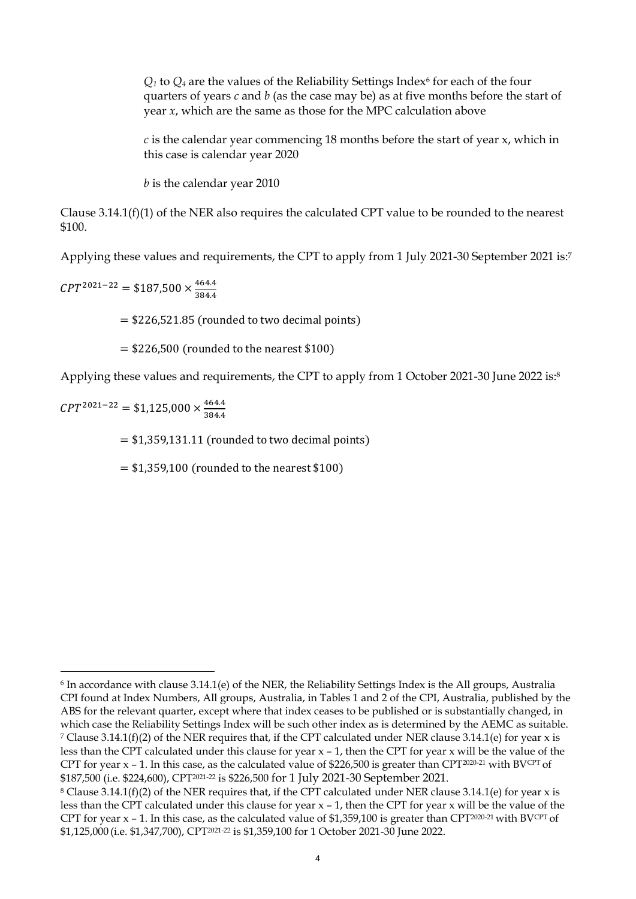$Q_1$  to  $Q_4$  are the values of the Reliability Settings Index<sup>6</sup> for each of the four quarters of years *c* and *b* (as the case may be) as at five months before the start of year *x*, which are the same as those for the MPC calculation above

*c* is the calendar year commencing 18 months before the start of year x, which in this case is calendar year 2020

*b* is the calendar year 2010

Clause  $3.14.1(f)(1)$  of the NER also requires the calculated CPT value to be rounded to the nearest \$100.

Applying these values and requirements, the CPT to apply from 1 July 2021-30 September 2021 is: 7

 $CPT^{2021-22} = $187,500 \times \frac{464.4}{324.4}$ 384.4

 $= $226,521.85$  (rounded to two decimal points)

 $=$  \$226,500 (rounded to the nearest \$100)

Applying these values and requirements, the CPT to apply from 1 October 2021-30 June 2022 is:<sup>8</sup>

 $CPT^{2021-22} = $1,125,000 \times \frac{464.4}{324.4}$ 384.4

 $= $1,359,131.11$  (rounded to two decimal points)

 $=$  \$1,359,100 (rounded to the nearest \$100)

<sup>6</sup> In accordance with clause 3.14.1(e) of the NER, the Reliability Settings Index is the All groups, Australia CPI found at Index Numbers, All groups, Australia, in Tables 1 and 2 of the CPI, Australia, published by the ABS for the relevant quarter, except where that index ceases to be published or is substantially changed, in which case the Reliability Settings Index will be such other index as is determined by the AEMC as suitable. <sup>7</sup> Clause 3.14.1(f)(2) of the NER requires that, if the CPT calculated under NER clause 3.14.1(e) for year x is less than the CPT calculated under this clause for year x – 1, then the CPT for year x will be the value of the CPT for year  $x - 1$ . In this case, as the calculated value of \$226,500 is greater than CPT<sup>2020-21</sup> with BV<sup>CPT</sup> of \$187,500 (i.e. \$224,600), CPT2021-22 is \$226,500 for 1 July 2021-30 September 2021.

<sup>&</sup>lt;sup>8</sup> Clause 3.14.1(f)(2) of the NER requires that, if the CPT calculated under NER clause 3.14.1(e) for year x is less than the CPT calculated under this clause for year x – 1, then the CPT for year x will be the value of the CPT for year  $x - 1$ . In this case, as the calculated value of \$1,359,100 is greater than CPT<sup>2020-21</sup> with BV<sup>CPT</sup> of \$1,125,000 (i.e. \$1,347,700), CPT2021-22 is \$1,359,100 for 1 October 2021-30 June 2022.